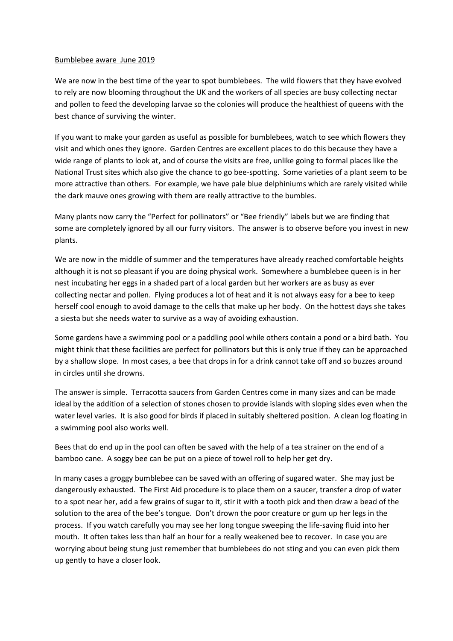## Bumblebee aware June 2019

We are now in the best time of the year to spot bumblebees. The wild flowers that they have evolved to rely are now blooming throughout the UK and the workers of all species are busy collecting nectar and pollen to feed the developing larvae so the colonies will produce the healthiest of queens with the best chance of surviving the winter.

If you want to make your garden as useful as possible for bumblebees, watch to see which flowers they visit and which ones they ignore. Garden Centres are excellent places to do this because they have a wide range of plants to look at, and of course the visits are free, unlike going to formal places like the National Trust sites which also give the chance to go bee-spotting. Some varieties of a plant seem to be more attractive than others. For example, we have pale blue delphiniums which are rarely visited while the dark mauve ones growing with them are really attractive to the bumbles.

Many plants now carry the "Perfect for pollinators" or "Bee friendly" labels but we are finding that some are completely ignored by all our furry visitors. The answer is to observe before you invest in new plants.

We are now in the middle of summer and the temperatures have already reached comfortable heights although it is not so pleasant if you are doing physical work. Somewhere a bumblebee queen is in her nest incubating her eggs in a shaded part of a local garden but her workers are as busy as ever collecting nectar and pollen. Flying produces a lot of heat and it is not always easy for a bee to keep herself cool enough to avoid damage to the cells that make up her body. On the hottest days she takes a siesta but she needs water to survive as a way of avoiding exhaustion.

Some gardens have a swimming pool or a paddling pool while others contain a pond or a bird bath. You might think that these facilities are perfect for pollinators but this is only true if they can be approached by a shallow slope. In most cases, a bee that drops in for a drink cannot take off and so buzzes around in circles until she drowns.

The answer is simple. Terracotta saucers from Garden Centres come in many sizes and can be made ideal by the addition of a selection of stones chosen to provide islands with sloping sides even when the water level varies. It is also good for birds if placed in suitably sheltered position. A clean log floating in a swimming pool also works well.

Bees that do end up in the pool can often be saved with the help of a tea strainer on the end of a bamboo cane. A soggy bee can be put on a piece of towel roll to help her get dry.

In many cases a groggy bumblebee can be saved with an offering of sugared water. She may just be dangerously exhausted. The First Aid procedure is to place them on a saucer, transfer a drop of water to a spot near her, add a few grains of sugar to it, stir it with a tooth pick and then draw a bead of the solution to the area of the bee's tongue. Don't drown the poor creature or gum up her legs in the process. If you watch carefully you may see her long tongue sweeping the life-saving fluid into her mouth. It often takes less than half an hour for a really weakened bee to recover. In case you are worrying about being stung just remember that bumblebees do not sting and you can even pick them up gently to have a closer look.